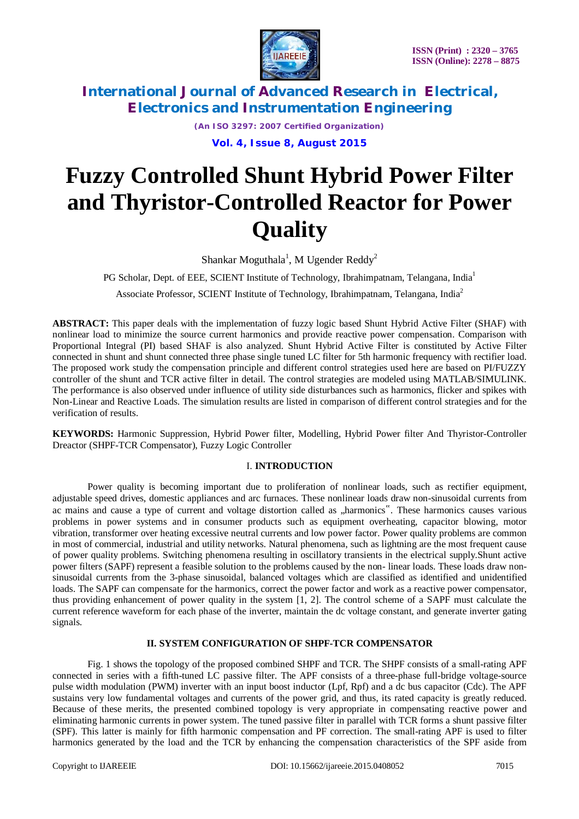

*(An ISO 3297: 2007 Certified Organization)*

**Vol. 4, Issue 8, August 2015**

# **Fuzzy Controlled Shunt Hybrid Power Filter and Thyristor-Controlled Reactor for Power Quality**

Shankar Moguthala<sup>1</sup>, M Ugender Reddy<sup>2</sup>

PG Scholar, Dept. of EEE, SCIENT Institute of Technology, Ibrahimpatnam, Telangana, India<sup>1</sup>

Associate Professor, SCIENT Institute of Technology, Ibrahimpatnam, Telangana, India<sup>2</sup>

**ABSTRACT:** This paper deals with the implementation of fuzzy logic based Shunt Hybrid Active Filter (SHAF) with nonlinear load to minimize the source current harmonics and provide reactive power compensation. Comparison with Proportional Integral (PI) based SHAF is also analyzed. Shunt Hybrid Active Filter is constituted by Active Filter connected in shunt and shunt connected three phase single tuned LC filter for 5th harmonic frequency with rectifier load. The proposed work study the compensation principle and different control strategies used here are based on PI/FUZZY controller of the shunt and TCR active filter in detail. The control strategies are modeled using MATLAB/SIMULINK. The performance is also observed under influence of utility side disturbances such as harmonics, flicker and spikes with Non-Linear and Reactive Loads. The simulation results are listed in comparison of different control strategies and for the verification of results.

**KEYWORDS:** Harmonic Suppression, Hybrid Power filter, Modelling, Hybrid Power filter And Thyristor-Controller Dreactor (SHPF-TCR Compensator), Fuzzy Logic Controller

#### I. **INTRODUCTION**

Power quality is becoming important due to proliferation of nonlinear loads, such as rectifier equipment, adjustable speed drives, domestic appliances and arc furnaces. These nonlinear loads draw non-sinusoidal currents from ac mains and cause a type of current and voltage distortion called as "harmonics". These harmonics causes various problems in power systems and in consumer products such as equipment overheating, capacitor blowing, motor vibration, transformer over heating excessive neutral currents and low power factor. Power quality problems are common in most of commercial, industrial and utility networks. Natural phenomena, such as lightning are the most frequent cause of power quality problems. Switching phenomena resulting in oscillatory transients in the electrical supply.Shunt active power filters (SAPF) represent a feasible solution to the problems caused by the non- linear loads. These loads draw nonsinusoidal currents from the 3-phase sinusoidal, balanced voltages which are classified as identified and unidentified loads. The SAPF can compensate for the harmonics, correct the power factor and work as a reactive power compensator, thus providing enhancement of power quality in the system [1, 2]. The control scheme of a SAPF must calculate the current reference waveform for each phase of the inverter, maintain the dc voltage constant, and generate inverter gating signals.

#### **II. SYSTEM CONFIGURATION OF SHPF-TCR COMPENSATOR**

Fig. 1 shows the topology of the proposed combined SHPF and TCR. The SHPF consists of a small-rating APF connected in series with a fifth-tuned LC passive filter. The APF consists of a three-phase full-bridge voltage-source pulse width modulation (PWM) inverter with an input boost inductor (Lpf, Rpf) and a dc bus capacitor (Cdc). The APF sustains very low fundamental voltages and currents of the power grid, and thus, its rated capacity is greatly reduced. Because of these merits, the presented combined topology is very appropriate in compensating reactive power and eliminating harmonic currents in power system. The tuned passive filter in parallel with TCR forms a shunt passive filter (SPF). This latter is mainly for fifth harmonic compensation and PF correction. The small-rating APF is used to filter harmonics generated by the load and the TCR by enhancing the compensation characteristics of the SPF aside from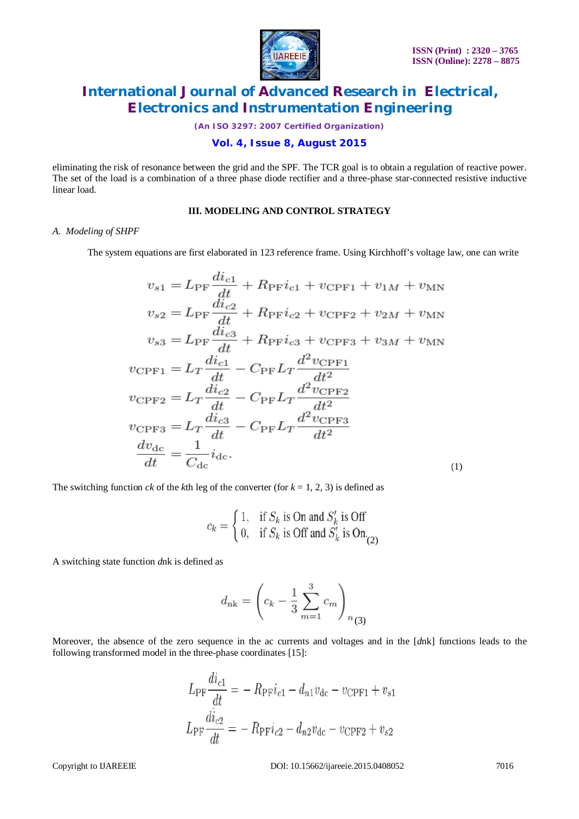

*(An ISO 3297: 2007 Certified Organization)*

**Vol. 4, Issue 8, August 2015**

eliminating the risk of resonance between the grid and the SPF. The TCR goal is to obtain a regulation of reactive power. The set of the load is a combination of a three phase diode rectifier and a three-phase star-connected resistive inductive linear load.

#### **III. MODELING AND CONTROL STRATEGY**

#### *A. Modeling of SHPF*

The system equations are first elaborated in 123 reference frame. Using Kirchhoff's voltage law, one can write

$$
v_{s1} = L_{\text{PF}} \frac{di_{c1}}{dt} + R_{\text{PF}} i_{c1} + v_{\text{CPF1}} + v_{1M} + v_{\text{MN}}
$$
  
\n
$$
v_{s2} = L_{\text{PF}} \frac{di_{c2}}{dt} + R_{\text{PF}} i_{c2} + v_{\text{CPF2}} + v_{2M} + v_{\text{MN}}
$$
  
\n
$$
v_{s3} = L_{\text{PF}} \frac{di_{c3}}{dt} + R_{\text{PF}} i_{c3} + v_{\text{CPF3}} + v_{3M} + v_{\text{MN}}
$$
  
\n
$$
v_{\text{CPF1}} = L_{T} \frac{di_{c1}}{dt} - C_{\text{PF}} L_{T} \frac{d^{2} v_{\text{CPF1}}}{dt^{2}}
$$
  
\n
$$
v_{\text{CPF2}} = L_{T} \frac{di_{c2}}{dt} - C_{\text{PF}} L_{T} \frac{d^{2} v_{\text{CPF2}}}{dt^{2}}
$$
  
\n
$$
v_{\text{CPF3}} = L_{T} \frac{di_{c3}}{dt} - C_{\text{PF}} L_{T} \frac{d^{2} v_{\text{CPF3}}}{dt^{2}}
$$
  
\n
$$
\frac{dv_{\text{dc}}}{dt} = \frac{1}{C_{\text{dc}}} i_{\text{dc}}.
$$
  
\n(1)

The switching function *ck* of the *k*th leg of the converter (for  $k = 1, 2, 3$ ) is defined as

$$
c_k = \begin{cases} 1, & \text{if } S_k \text{ is On and } S'_k \text{ is Off} \\ 0, & \text{if } S_k \text{ is Off and } S'_k \text{ is On} \\ 0, & \text{if } S_k \text{ is Off} \end{cases}
$$

A switching state function *d*nk is defined as

$$
d_{\rm nk} = \left( c_k - \frac{1}{3} \sum_{m=1}^{3} c_m \right)_{n_{(3)}}
$$

Moreover, the absence of the zero sequence in the ac currents and voltages and in the [*dnk*] functions leads to the following transformed model in the three-phase coordinates [15]:

$$
L_{\rm PF} \frac{di_{c1}}{dt} = -R_{\rm PF} i_{c1} - d_{n1} v_{\rm dc} - v_{\rm CPF1} + v_{s1}
$$

$$
L_{\rm PF} \frac{di_{c2}}{dt} = -R_{\rm PF} i_{c2} - d_{n2} v_{\rm dc} - v_{\rm CPF2} + v_{s2}
$$

Copyright to IJAREEIE DOI: 10.15662/ijareeie.2015.0408052 7016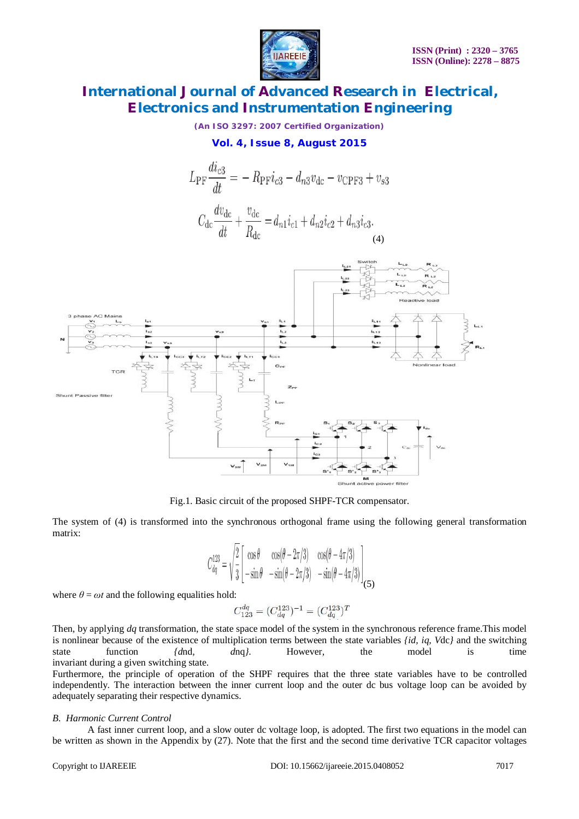

*(An ISO 3297: 2007 Certified Organization)*

#### **Vol. 4, Issue 8, August 2015**





Fig.1. Basic circuit of the proposed SHPF-TCR compensator.

The system of (4) is transformed into the synchronous orthogonal frame using the following general transformation matrix:

$$
C_{dq}^{123} = \sqrt{\frac{2}{3}} \begin{bmatrix} \cos \theta & \cos(\theta - 2\pi/3) & \cos(\theta - 4\pi/3) \\ -\sin \theta & -\sin(\theta - 2\pi/3) & -\sin(\theta - 4\pi/3) \end{bmatrix} \tag{5}
$$

where  $\theta = \omega t$  and the following equalities hold:

$$
C_{123}^{dq} = (C_{dq}^{123})^{-1} = (C_{dq}^{123})^{T}
$$

Then, by applying *dq* transformation, the state space model of the system in the synchronous reference frame.This model is nonlinear because of the existence of multiplication terms between the state variables *{id, iq, V*dc*}* and the switching state function *{d*nd*, d*nq*}*. However, the model is time invariant during a given switching state.

Furthermore, the principle of operation of the SHPF requires that the three state variables have to be controlled independently. The interaction between the inner current loop and the outer dc bus voltage loop can be avoided by adequately separating their respective dynamics.

#### *B. Harmonic Current Control*

A fast inner current loop, and a slow outer dc voltage loop, is adopted. The first two equations in the model can be written as shown in the Appendix by (27). Note that the first and the second time derivative TCR capacitor voltages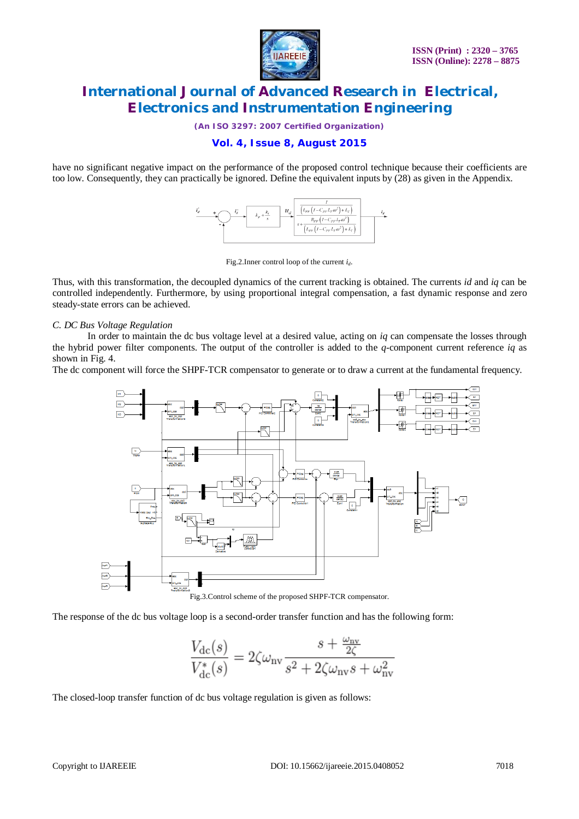

*(An ISO 3297: 2007 Certified Organization)*

#### **Vol. 4, Issue 8, August 2015**

have no significant negative impact on the performance of the proposed control technique because their coefficients are too low. Consequently, they can practically be ignored. Define the equivalent inputs by (28) as given in the Appendix.



Fig.2.Inner control loop of the current *id*.

Thus, with this transformation, the decoupled dynamics of the current tracking is obtained. The currents *id* and *iq* can be controlled independently. Furthermore, by using proportional integral compensation, a fast dynamic response and zero steady-state errors can be achieved.

#### *C. DC Bus Voltage Regulation*

In order to maintain the dc bus voltage level at a desired value, acting on *iq* can compensate the losses through the hybrid power filter components. The output of the controller is added to the *q*-component current reference *iq* as shown in Fig. 4.

The dc component will force the SHPF-TCR compensator to generate or to draw a current at the fundamental frequency.



The response of the dc bus voltage loop is a second-order transfer function and has the following form:

$$
\frac{V_{\rm dc}(s)}{V_{\rm dc}^*(s)} = 2\zeta\omega_{\rm nv}\frac{s + \frac{\omega_{\rm nv}}{2\zeta}}{s^2 + 2\zeta\omega_{\rm nv}s + \omega_{\rm nv}^2}
$$

The closed-loop transfer function of dc bus voltage regulation is given as follows: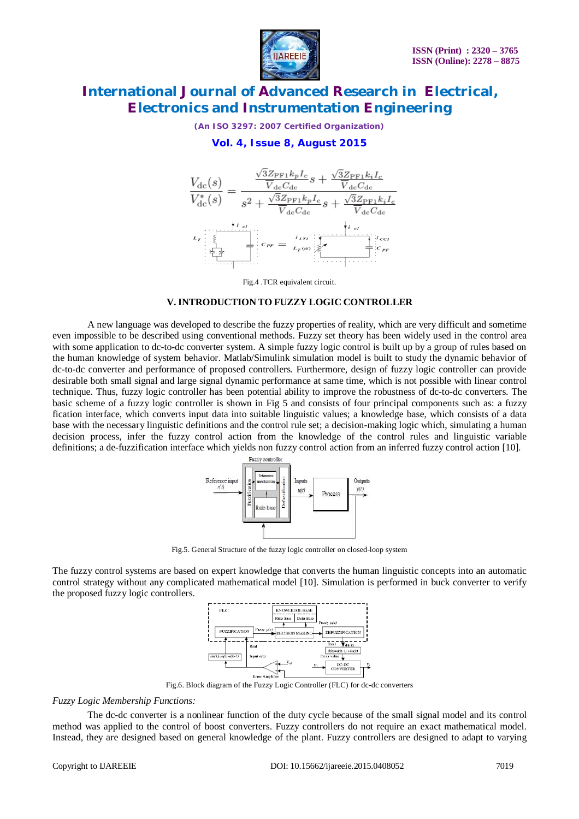

*(An ISO 3297: 2007 Certified Organization)*

### **Vol. 4, Issue 8, August 2015**



Fig.4 .TCR equivalent circuit.

#### **V. INTRODUCTION TO FUZZY LOGIC CONTROLLER**

A new language was developed to describe the fuzzy properties of reality, which are very difficult and sometime even impossible to be described using conventional methods. Fuzzy set theory has been widely used in the control area with some application to dc-to-dc converter system. A simple fuzzy logic control is built up by a group of rules based on the human knowledge of system behavior. Matlab/Simulink simulation model is built to study the dynamic behavior of dc-to-dc converter and performance of proposed controllers. Furthermore, design of fuzzy logic controller can provide desirable both small signal and large signal dynamic performance at same time, which is not possible with linear control technique. Thus, fuzzy logic controller has been potential ability to improve the robustness of dc-to-dc converters. The basic scheme of a fuzzy logic controller is shown in Fig 5 and consists of four principal components such as: a fuzzy fication interface, which converts input data into suitable linguistic values; a knowledge base, which consists of a data base with the necessary linguistic definitions and the control rule set; a decision-making logic which, simulating a human decision process, infer the fuzzy control action from the knowledge of the control rules and linguistic variable definitions; a de-fuzzification interface which yields non fuzzy control action from an inferred fuzzy control action [10].



Fig.5. General Structure of the fuzzy logic controller on closed-loop system

The fuzzy control systems are based on expert knowledge that converts the human linguistic concepts into an automatic control strategy without any complicated mathematical model [10]. Simulation is performed in buck converter to verify the proposed fuzzy logic controllers.



Fig.6. Block diagram of the Fuzzy Logic Controller (FLC) for dc-dc converters

#### *Fuzzy Logic Membership Functions:*

The dc-dc converter is a nonlinear function of the duty cycle because of the small signal model and its control method was applied to the control of boost converters. Fuzzy controllers do not require an exact mathematical model. Instead, they are designed based on general knowledge of the plant. Fuzzy controllers are designed to adapt to varying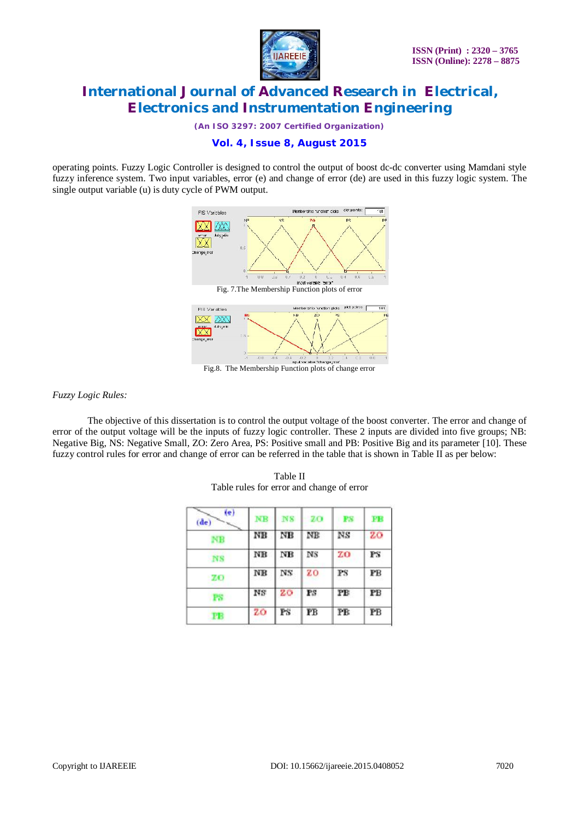

*(An ISO 3297: 2007 Certified Organization)*

### **Vol. 4, Issue 8, August 2015**

operating points. Fuzzy Logic Controller is designed to control the output of boost dc-dc converter using Mamdani style fuzzy inference system. Two input variables, error (e) and change of error (de) are used in this fuzzy logic system. The single output variable (u) is duty cycle of PWM output.



Fig.8. The Membership Function plots of change error

#### *Fuzzy Logic Rules:*

The objective of this dissertation is to control the output voltage of the boost converter. The error and change of error of the output voltage will be the inputs of fuzzy logic controller. These 2 inputs are divided into five groups; NB: Negative Big, NS: Negative Small, ZO: Zero Area, PS: Positive small and PB: Positive Big and its parameter [10]. These fuzzy control rules for error and change of error can be referred in the table that is shown in Table II as per below:

| (e)<br>(de) | NΒ | NS | 20                     | PS                     | FВ          |
|-------------|----|----|------------------------|------------------------|-------------|
| NB          | NB | NΒ | ΝB                     | NS                     | 20          |
| <b>NS</b>   | NB | NΒ | $_{\rm NS}$            | ZΟ                     | $_{\rm PS}$ |
| - 70        | NB | NS | zo                     | $_{\rm FS}$            | РB          |
| PS.         | NS | 20 | PS                     | РB                     | PB          |
| FB          | zo | РS | $\overline{\text{PB}}$ | $\overline{\text{PB}}$ | $P\bar{B}$  |

Table II Table rules for error and change of error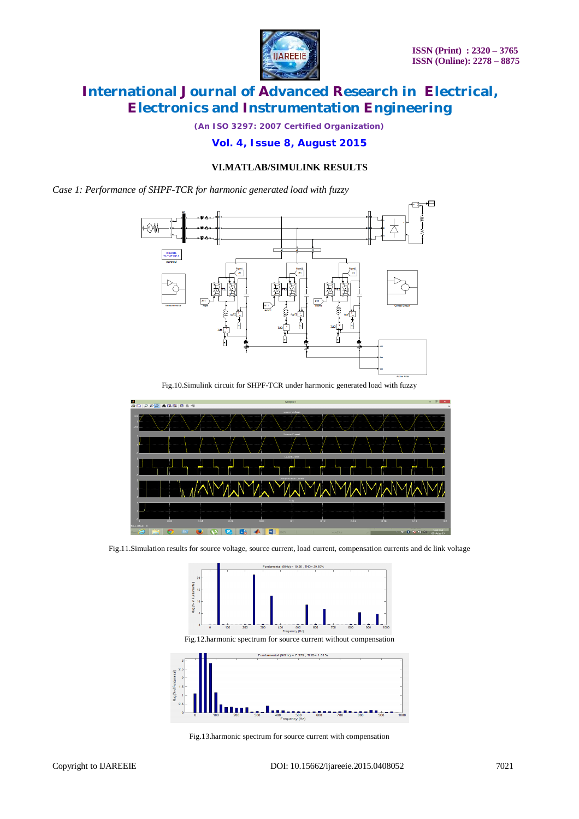

*(An ISO 3297: 2007 Certified Organization)*

#### **Vol. 4, Issue 8, August 2015**

#### **VI.MATLAB/SIMULINK RESULTS**

*Case 1: Performance of SHPF-TCR for harmonic generated load with fuzzy*



Fig.10.Simulink circuit for SHPF-TCR under harmonic generated load with fuzzy



Fig.11.Simulation results for source voltage, source current, load current, compensation currents and dc link voltage



Fig.13.harmonic spectrum for source current with compensation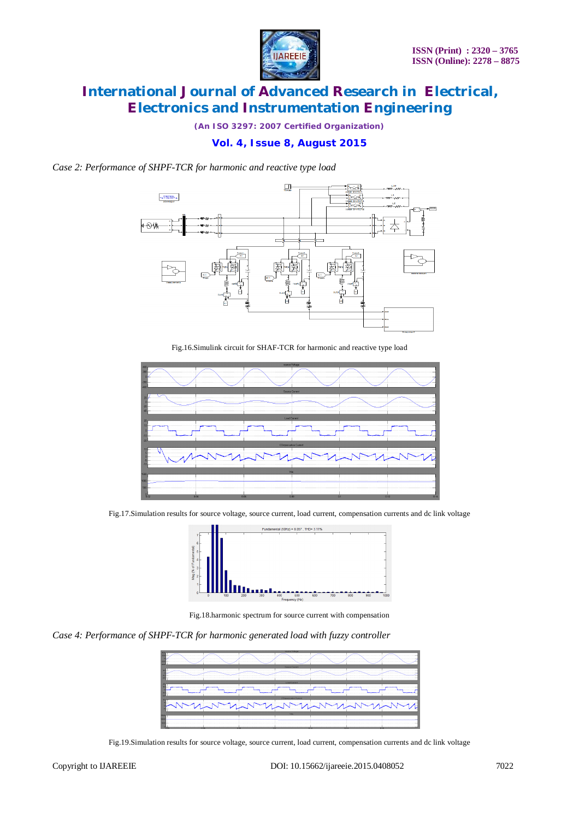

*(An ISO 3297: 2007 Certified Organization)*

#### **Vol. 4, Issue 8, August 2015**

*Case 2: Performance of SHPF-TCR for harmonic and reactive type load*



Fig.16.Simulink circuit for SHAF-TCR for harmonic and reactive type load



Fig.17.Simulation results for source voltage, source current, load current, compensation currents and dc link voltage



Fig.18.harmonic spectrum for source current with compensation

*Case 4: Performance of SHPF-TCR for harmonic generated load with fuzzy controller*

| searce Volume                                                          |       |                |                             |                   |                          |             |  |  |  |  |  |
|------------------------------------------------------------------------|-------|----------------|-----------------------------|-------------------|--------------------------|-------------|--|--|--|--|--|
| .                                                                      |       | .<br>          | .                           | .<br>             | .                        | .           |  |  |  |  |  |
| .<br>.<br>.                                                            | .<br> | .<br><br>.     | .<br>.<br>                  | <br>.             | .<br><b></b><br>.        | .           |  |  |  |  |  |
| <b>Source Current</b>                                                  |       |                |                             |                   |                          |             |  |  |  |  |  |
|                                                                        |       |                |                             |                   |                          |             |  |  |  |  |  |
| . <del>.</del><br>.<br><b>Participants and a state of the American</b> | .     | .              |                             | .<br><b>.</b>     | .<br>                    | .           |  |  |  |  |  |
| . <del>.</del>                                                         |       |                |                             |                   |                          |             |  |  |  |  |  |
|                                                                        |       |                | Load Current                |                   |                          |             |  |  |  |  |  |
|                                                                        |       |                |                             |                   |                          |             |  |  |  |  |  |
| <br>.                                                                  |       | <br>.          | ------------<br>.           | ---------<br><br> | _______<br><b>A</b>      | ----------- |  |  |  |  |  |
|                                                                        |       |                |                             |                   |                          |             |  |  |  |  |  |
|                                                                        |       |                | <b>COmpensation Current</b> |                   |                          |             |  |  |  |  |  |
|                                                                        |       |                |                             |                   |                          |             |  |  |  |  |  |
|                                                                        |       | . <del>.</del> |                             |                   |                          |             |  |  |  |  |  |
|                                                                        |       |                |                             | . <del>.</del>    |                          |             |  |  |  |  |  |
| <b>Vito</b>                                                            |       |                |                             |                   |                          |             |  |  |  |  |  |
|                                                                        |       |                |                             |                   |                          |             |  |  |  |  |  |
|                                                                        |       |                |                             |                   |                          |             |  |  |  |  |  |
|                                                                        |       |                |                             |                   |                          |             |  |  |  |  |  |
| 10.00                                                                  | 0.000 |                | 0.12                        |                   | <b>ALC: UNK</b><br>20.00 |             |  |  |  |  |  |

Fig.19.Simulation results for source voltage, source current, load current, compensation currents and dc link voltage